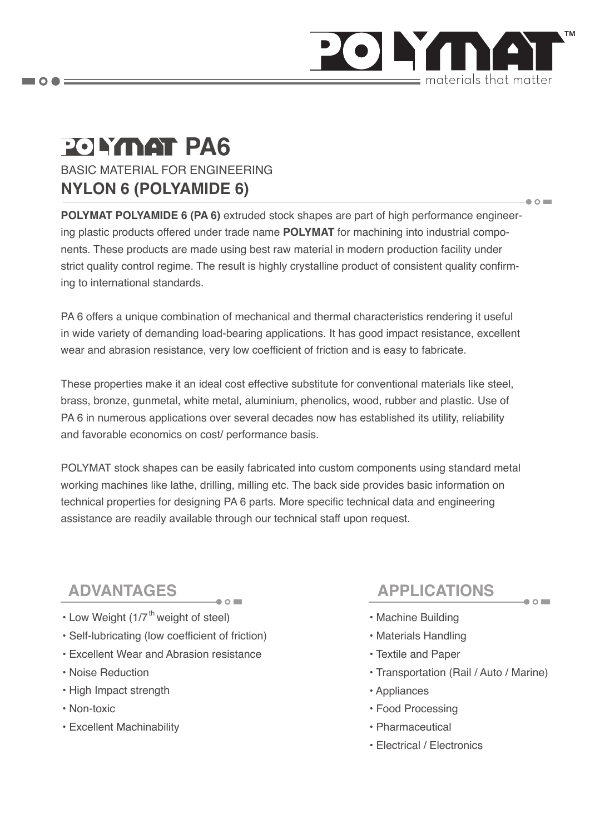

 $\bullet$   $\circ$   $\blacksquare$ 

 $\bullet$  0

# **POLYMAT PA6**

BASIC MATERIAL FOR ENGINEERING **NYLON 6 (POLYAMIDE 6)**

**POLYMAT POLYAMIDE 6 (PA 6)** extruded stock shapes are part of high performance engineering plastic products offered under trade name **POLYMAT** for machining into industrial components. These products are made using best raw material in modern production facility under strict quality control regime. The result is highly crystalline product of consistent quality confirming to international standards.

PA 6 offers a unique combination of mechanical and thermal characteristics rendering it useful in wide variety of demanding load-bearing applications. It has good impact resistance, excellent wear and abrasion resistance, very low coefficient of friction and is easy to fabricate.

These properties make it an ideal cost effective substitute for conventional materials like steel, brass, bronze, gunmetal, white metal, aluminium, phenolics, wood, rubber and plastic. Use of PA 6 in numerous applications over several decades now has established its utility, reliability and favorable economics on cost/ performance basis.

POLYMAT stock shapes can be easily fabricated into custom components using standard metal working machines like lathe, drilling, milling etc. The back side provides basic information on technical properties for designing PA 6 parts. More specific technical data and engineering assistance are readily available through our technical staff upon request.

- Low Weight (1/7<sup>th</sup> weight of steel)
- Self-lubricating (low coefficient of friction)
- Excellent Wear and Abrasion resistance
- Noise Reduction
- High Impact strength
- Non-toxic
- Excellent Machinability

## **ADVANTAGES APPLICATIONS**

- Machine Building
- Materials Handling
- Textile and Paper
- Transportation (Rail / Auto / Marine)
- Appliances
- Food Processing
- Pharmaceutical
- Electrical / Electronics

 $\blacksquare$   $\bigcirc$   $\spadesuit$   $\equiv$